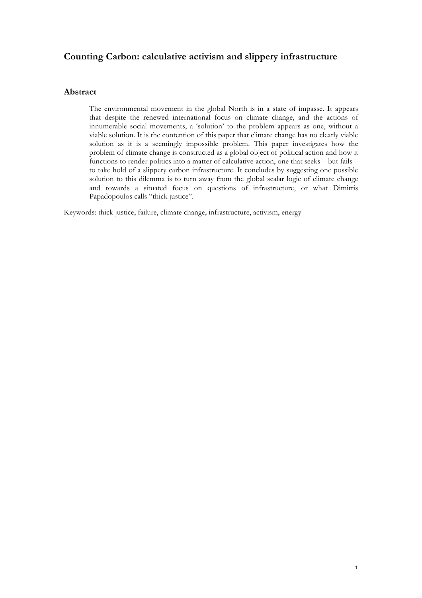# **Counting Carbon: calculative activism and slippery infrastructure**

## **Abstract**

The environmental movement in the global North is in a state of impasse. It appears that despite the renewed international focus on climate change, and the actions of innumerable social movements, a 'solution' to the problem appears as one, without a viable solution. It is the contention of this paper that climate change has no clearly viable solution as it is a seemingly impossible problem. This paper investigates how the problem of climate change is constructed as a global object of political action and how it functions to render politics into a matter of calculative action, one that seeks – but fails – to take hold of a slippery carbon infrastructure. It concludes by suggesting one possible solution to this dilemma is to turn away from the global scalar logic of climate change and towards a situated focus on questions of infrastructure, or what Dimitris Papadopoulos calls "thick justice".

Keywords: thick justice, failure, climate change, infrastructure, activism, energy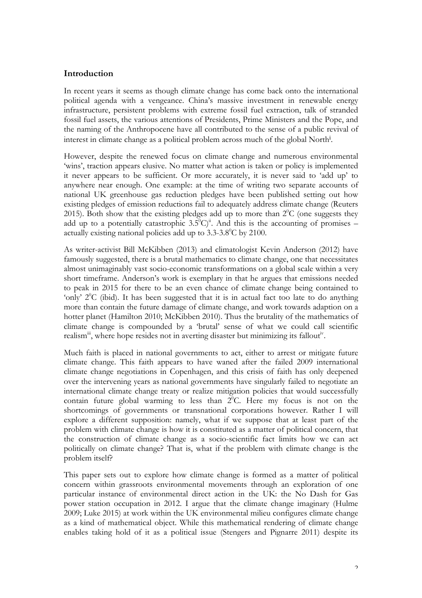### **Introduction**

In recent years it seems as though climate change has come back onto the international political agenda with a vengeance. China's massive investment in renewable energy infrastructure, persistent problems with extreme fossil fuel extraction, talk of stranded fossil fuel assets, the various attentions of Presidents, Prime Ministers and the Pope, and the naming of the Anthropocene have all contributed to the sense of a public revival of interest in climate change as a political problem across much of the global North<sup>i</sup> .

However, despite the renewed focus on climate change and numerous environmental 'wins', traction appears elusive. No matter what action is taken or policy is implemented it never appears to be sufficient. Or more accurately, it is never said to 'add up' to anywhere near enough. One example: at the time of writing two separate accounts of national UK greenhouse gas reduction pledges have been published setting out how existing pledges of emission reductions fail to adequately address climate change (Reuters 2015). Both show that the existing pledges add up to more than  $2^{0}C$  (one suggests they add up to a potentially catastrophic  $3.5^{\circ}C)^{ii}$ . And this is the accounting of promises – actually existing national policies add up to  $3.3$ - $3.8^{\circ}$ C by 2100.

As writer-activist Bill McKibben (2013) and climatologist Kevin Anderson (2012) have famously suggested, there is a brutal mathematics to climate change, one that necessitates almost unimaginably vast socio-economic transformations on a global scale within a very short timeframe. Anderson's work is exemplary in that he argues that emissions needed to peak in 2015 for there to be an even chance of climate change being contained to 'only'  $2^{\circ}$ C (ibid). It has been suggested that it is in actual fact too late to do anything more than contain the future damage of climate change, and work towards adaption on a hotter planet (Hamilton 2010; McKibben 2010). Thus the brutality of the mathematics of climate change is compounded by a 'brutal' sense of what we could call scientific realism<sup>iii</sup>, where hope resides not in averting disaster but minimizing its fallout<sup>iv</sup>.

Much faith is placed in national governments to act, either to arrest or mitigate future climate change. This faith appears to have waned after the failed 2009 international climate change negotiations in Copenhagen, and this crisis of faith has only deepened over the intervening years as national governments have singularly failed to negotiate an international climate change treaty or realize mitigation policies that would successfully contain future global warming to less than  $2^{\circ}$ C. Here my focus is not on the shortcomings of governments or transnational corporations however. Rather I will explore a different supposition: namely, what if we suppose that at least part of the problem with climate change is how it is constituted as a matter of political concern, that the construction of climate change as a socio-scientific fact limits how we can act politically on climate change? That is, what if the problem with climate change is the problem itself?

This paper sets out to explore how climate change is formed as a matter of political concern within grassroots environmental movements through an exploration of one particular instance of environmental direct action in the UK: the No Dash for Gas power station occupation in 2012. I argue that the climate change imaginary (Hulme 2009; Luke 2015) at work within the UK environmental milieu configures climate change as a kind of mathematical object. While this mathematical rendering of climate change enables taking hold of it as a political issue (Stengers and Pignarre 2011) despite its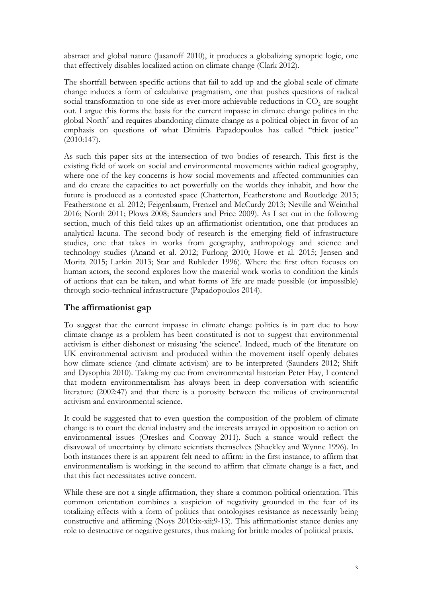abstract and global nature (Jasanoff 2010), it produces a globalizing synoptic logic, one that effectively disables localized action on climate change (Clark 2012).

The shortfall between specific actions that fail to add up and the global scale of climate change induces a form of calculative pragmatism, one that pushes questions of radical social transformation to one side as ever-more achievable reductions in  $CO<sub>2</sub>$  are sought out. I argue this forms the basis for the current impasse in climate change politics in the global North<sup>v</sup> and requires abandoning climate change as a political object in favor of an emphasis on questions of what Dimitris Papadopoulos has called "thick justice" (2010:147).

As such this paper sits at the intersection of two bodies of research. This first is the existing field of work on social and environmental movements within radical geography, where one of the key concerns is how social movements and affected communities can and do create the capacities to act powerfully on the worlds they inhabit, and how the future is produced as a contested space (Chatterton, Featherstone and Routledge 2013; Featherstone et al. 2012; Feigenbaum, Frenzel and McCurdy 2013; Neville and Weinthal 2016; North 2011; Plows 2008; Saunders and Price 2009). As I set out in the following section, much of this field takes up an affirmationist orientation, one that produces an analytical lacuna. The second body of research is the emerging field of infrastructure studies, one that takes in works from geography, anthropology and science and technology studies (Anand et al. 2012; Furlong 2010; Howe et al. 2015; Jensen and Morita 2015; Larkin 2013; Star and Ruhleder 1996). Where the first often focuses on human actors, the second explores how the material work works to condition the kinds of actions that can be taken, and what forms of life are made possible (or impossible) through socio-technical infrastructure (Papadopoulos 2014).

## **The affirmationist gap**

To suggest that the current impasse in climate change politics is in part due to how climate change as a problem has been constituted is not to suggest that environmental activism is either dishonest or misusing 'the science'. Indeed, much of the literature on UK environmental activism and produced within the movement itself openly debates how climate science (and climate activism) are to be interpreted (Saunders 2012; Shift and Dysophia 2010). Taking my cue from environmental historian Peter Hay, I contend that modern environmentalism has always been in deep conversation with scientific literature (2002:47) and that there is a porosity between the milieus of environmental activism and environmental science.

It could be suggested that to even question the composition of the problem of climate change is to court the denial industry and the interests arrayed in opposition to action on environmental issues (Oreskes and Conway 2011). Such a stance would reflect the disavowal of uncertainty by climate scientists themselves (Shackley and Wynne 1996). In both instances there is an apparent felt need to affirm: in the first instance, to affirm that environmentalism is working; in the second to affirm that climate change is a fact, and that this fact necessitates active concern.

While these are not a single affirmation, they share a common political orientation. This common orientation combines a suspicion of negativity grounded in the fear of its totalizing effects with a form of politics that ontologises resistance as necessarily being constructive and affirming (Noys 2010:ix-xii;9-13). This affirmationist stance denies any role to destructive or negative gestures, thus making for brittle modes of political praxis.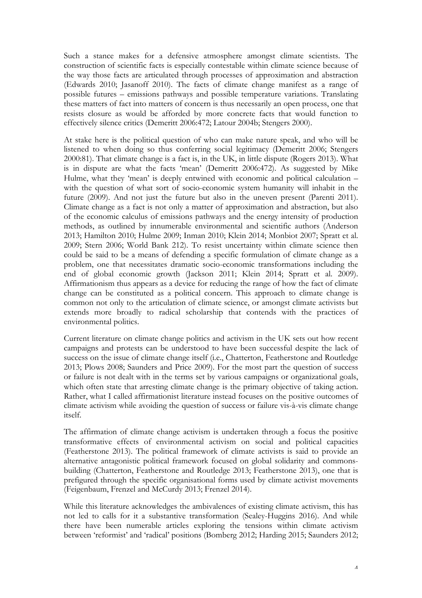Such a stance makes for a defensive atmosphere amongst climate scientists. The construction of scientific facts is especially contestable within climate science because of the way those facts are articulated through processes of approximation and abstraction (Edwards 2010; Jasanoff 2010). The facts of climate change manifest as a range of possible futures – emissions pathways and possible temperature variations. Translating these matters of fact into matters of concern is thus necessarily an open process, one that resists closure as would be afforded by more concrete facts that would function to effectively silence critics (Demeritt 2006:472; Latour 2004b; Stengers 2000).

At stake here is the political question of who can make nature speak, and who will be listened to when doing so thus conferring social legitimacy (Demeritt 2006; Stengers 2000:81). That climate change is a fact is, in the UK, in little dispute (Rogers 2013). What is in dispute are what the facts 'mean' (Demeritt 2006:472). As suggested by Mike Hulme, what they 'mean' is deeply entwined with economic and political calculation – with the question of what sort of socio-economic system humanity will inhabit in the future (2009). And not just the future but also in the uneven present (Parenti 2011). Climate change as a fact is not only a matter of approximation and abstraction, but also of the economic calculus of emissions pathways and the energy intensity of production methods, as outlined by innumerable environmental and scientific authors (Anderson 2013; Hamilton 2010; Hulme 2009; Inman 2010; Klein 2014; Monbiot 2007; Spratt et al. 2009; Stern 2006; World Bank 212). To resist uncertainty within climate science then could be said to be a means of defending a specific formulation of climate change as a problem, one that necessitates dramatic socio-economic transformations including the end of global economic growth (Jackson 2011; Klein 2014; Spratt et al. 2009). Affirmationism thus appears as a device for reducing the range of how the fact of climate change can be constituted as a political concern. This approach to climate change is common not only to the articulation of climate science, or amongst climate activists but extends more broadly to radical scholarship that contends with the practices of environmental politics.

Current literature on climate change politics and activism in the UK sets out how recent campaigns and protests can be understood to have been successful despite the lack of success on the issue of climate change itself (i.e., Chatterton, Featherstone and Routledge 2013; Plows 2008; Saunders and Price 2009). For the most part the question of success or failure is not dealt with in the terms set by various campaigns or organizational goals, which often state that arresting climate change is the primary objective of taking action. Rather, what I called affirmationist literature instead focuses on the positive outcomes of climate activism while avoiding the question of success or failure vis-à-vis climate change itself.

The affirmation of climate change activism is undertaken through a focus the positive transformative effects of environmental activism on social and political capacities (Featherstone 2013). The political framework of climate activists is said to provide an alternative antagonistic political framework focused on global solidarity and commonsbuilding (Chatterton, Featherstone and Routledge 2013; Featherstone 2013), one that is prefigured through the specific organisational forms used by climate activist movements (Feigenbaum, Frenzel and McCurdy 2013; Frenzel 2014).

While this literature acknowledges the ambivalences of existing climate activism, this has not led to calls for it a substantive transformation (Sealey-Huggins 2016). And while there have been numerable articles exploring the tensions within climate activism between 'reformist' and 'radical' positions (Bomberg 2012; Harding 2015; Saunders 2012;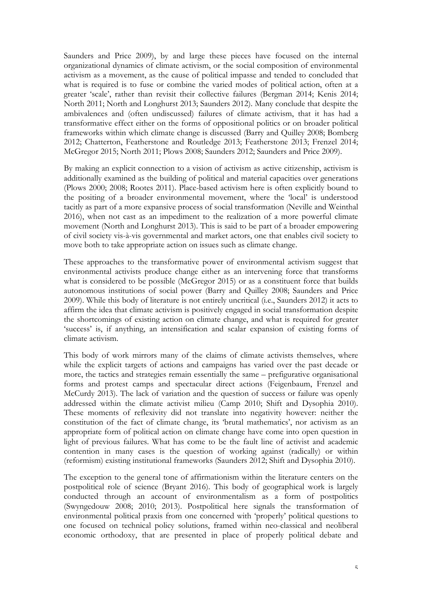Saunders and Price 2009), by and large these pieces have focused on the internal organizational dynamics of climate activism, or the social composition of environmental activism as a movement, as the cause of political impasse and tended to concluded that what is required is to fuse or combine the varied modes of political action, often at a greater 'scale', rather than revisit their collective failures (Bergman 2014; Kenis 2014; North 2011; North and Longhurst 2013; Saunders 2012). Many conclude that despite the ambivalences and (often undiscussed) failures of climate activism, that it has had a transformative effect either on the forms of oppositional politics or on broader political frameworks within which climate change is discussed (Barry and Quilley 2008; Bomberg 2012; Chatterton, Featherstone and Routledge 2013; Featherstone 2013; Frenzel 2014; McGregor 2015; North 2011; Plows 2008; Saunders 2012; Saunders and Price 2009).

By making an explicit connection to a vision of activism as active citizenship, activism is additionally examined as the building of political and material capacities over generations (Plows 2000; 2008; Rootes 2011). Place-based activism here is often explicitly bound to the positing of a broader environmental movement, where the 'local' is understood tacitly as part of a more expansive process of social transformation (Neville and Weinthal 2016), when not cast as an impediment to the realization of a more powerful climate movement (North and Longhurst 2013). This is said to be part of a broader empowering of civil society vis-à-vis governmental and market actors, one that enables civil society to move both to take appropriate action on issues such as climate change.

These approaches to the transformative power of environmental activism suggest that environmental activists produce change either as an intervening force that transforms what is considered to be possible (McGregor 2015) or as a constituent force that builds autonomous institutions of social power (Barry and Quilley 2008; Saunders and Price 2009). While this body of literature is not entirely uncritical (i.e., Saunders 2012) it acts to affirm the idea that climate activism is positively engaged in social transformation despite the shortcomings of existing action on climate change, and what is required for greater 'success' is, if anything, an intensification and scalar expansion of existing forms of climate activism.

This body of work mirrors many of the claims of climate activists themselves, where while the explicit targets of actions and campaigns has varied over the past decade or more, the tactics and strategies remain essentially the same – prefigurative organisational forms and protest camps and spectacular direct actions (Feigenbaum, Frenzel and McCurdy 2013). The lack of variation and the question of success or failure was openly addressed within the climate activist milieu (Camp 2010; Shift and Dysophia 2010). These moments of reflexivity did not translate into negativity however: neither the constitution of the fact of climate change, its 'brutal mathematics', nor activism as an appropriate form of political action on climate change have come into open question in light of previous failures. What has come to be the fault line of activist and academic contention in many cases is the question of working against (radically) or within (reformism) existing institutional frameworks (Saunders 2012; Shift and Dysophia 2010).

The exception to the general tone of affirmationism within the literature centers on the postpolitical role of science (Bryant 2016). This body of geographical work is largely conducted through an account of environmentalism as a form of postpolitics (Swyngedouw 2008; 2010; 2013). Postpolitical here signals the transformation of environmental political praxis from one concerned with 'properly' political questions to one focused on technical policy solutions, framed within neo-classical and neoliberal economic orthodoxy, that are presented in place of properly political debate and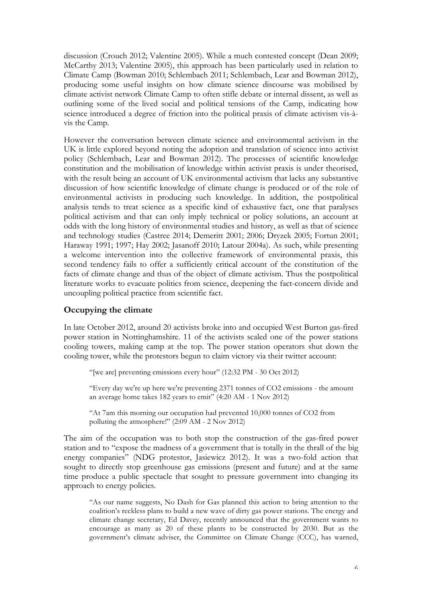discussion (Crouch 2012; Valentine 2005). While a much contested concept (Dean 2009; McCarthy 2013; Valentine 2005), this approach has been particularly used in relation to Climate Camp (Bowman 2010; Schlembach 2011; Schlembach, Lear and Bowman 2012), producing some useful insights on how climate science discourse was mobilised by climate activist network Climate Camp to often stifle debate or internal dissent, as well as outlining some of the lived social and political tensions of the Camp, indicating how science introduced a degree of friction into the political praxis of climate activism vis-àvis the Camp.

However the conversation between climate science and environmental activism in the UK is little explored beyond noting the adoption and translation of science into activist policy (Schlembach, Lear and Bowman 2012). The processes of scientific knowledge constitution and the mobilisation of knowledge within activist praxis is under theorised, with the result being an account of UK environmental activism that lacks any substantive discussion of how scientific knowledge of climate change is produced or of the role of environmental activists in producing such knowledge. In addition, the postpolitical analysis tends to treat science as a specific kind of exhaustive fact, one that paralyses political activism and that can only imply technical or policy solutions, an account at odds with the long history of environmental studies and history, as well as that of science and technology studies (Castree 2014; Demeritt 2001; 2006; Dryzek 2005; Fortun 2001; Haraway 1991; 1997; Hay 2002; Jasanoff 2010; Latour 2004a). As such, while presenting a welcome intervention into the collective framework of environmental praxis, this second tendency fails to offer a sufficiently critical account of the constitution of the facts of climate change and thus of the object of climate activism. Thus the postpolitical literature works to evacuate politics from science, deepening the fact-concern divide and uncoupling political practice from scientific fact.

## **Occupying the climate**

In late October 2012, around 20 activists broke into and occupied West Burton gas-fired power station in Nottinghamshire. 11 of the activists scaled one of the power stations cooling towers, making camp at the top. The power station operators shut down the cooling tower, while the protestors begun to claim victory via their twitter account:

"[we are] preventing emissions every hour" (12:32 PM - 30 Oct 2012)

"Every day we're up here we're preventing 2371 tonnes of CO2 emissions - the amount an average home takes 182 years to emit" (4:20 AM - 1 Nov 2012)

"At 7am this morning our occupation had prevented 10,000 tonnes of CO2 from polluting the atmosphere!" (2:09 AM - 2 Nov 2012)

The aim of the occupation was to both stop the construction of the gas-fired power station and to "expose the madness of a government that is totally in the thrall of the big energy companies" (NDG protestor, Jasiewicz 2012). It was a two-fold action that sought to directly stop greenhouse gas emissions (present and future) and at the same time produce a public spectacle that sought to pressure government into changing its approach to energy policies.

"As our name suggests, No Dash for Gas planned this action to bring attention to the coalition's reckless plans to build a new wave of dirty gas power stations. The energy and climate change secretary, Ed Davey, recently announced that the government wants to encourage as many as 20 of these plants to be constructed by 2030. But as the government's climate adviser, the Committee on Climate Change (CCC), has warned,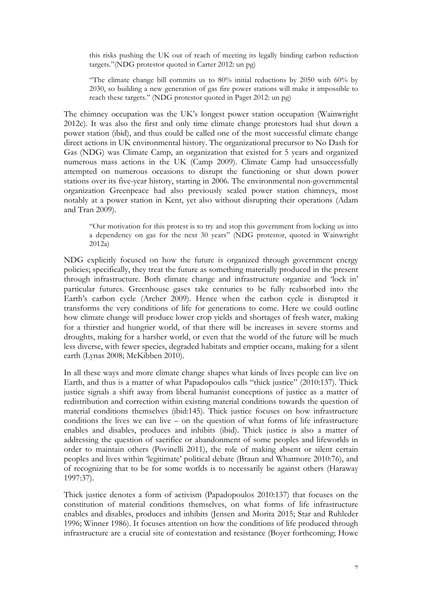this risks pushing the UK out of reach of meeting its legally binding carbon reduction targets."(NDG protestor quoted in Carter 2012: un pg)

"The climate change bill commits us to  $80\%$  initial reductions by 2050 with 60% by 2030, so building a new generation of gas fire power stations will make it impossible to reach these targets." (NDG protestor quoted in Paget 2012: un pg)

The chimney occupation was the UK's longest power station occupation (Wainwright 2012c). It was also the first and only time climate change protestors had shut down a power station (ibid), and thus could be called one of the most successful climate change direct actions in UK environmental history. The organizational precursor to No Dash for Gas (NDG) was Climate Camp, an organization that existed for 5 years and organized numerous mass actions in the UK (Camp 2009). Climate Camp had unsuccessfully attempted on numerous occasions to disrupt the functioning or shut down power stations over its five-year history, starting in 2006. The environmental non-governmental organization Greenpeace had also previously scaled power station chimneys, most notably at a power station in Kent, yet also without disrupting their operations (Adam and Tran 2009).

"Our motivation for this protest is to try and stop this government from locking us into a dependency on gas for the next 30 years" (NDG protestor, quoted in Wainwright 2012a)

NDG explicitly focused on how the future is organized through government energy policies; specifically, they treat the future as something materially produced in the present through infrastructure. Both climate change and infrastructure organize and 'lock in' particular futures. Greenhouse gases take centuries to be fully reabsorbed into the Earth's carbon cycle (Archer 2009). Hence when the carbon cycle is disrupted it transforms the very conditions of life for generations to come. Here we could outline how climate change will produce lower crop yields and shortages of fresh water, making for a thirstier and hungrier world, of that there will be increases in severe storms and droughts, making for a harsher world, or even that the world of the future will be much less diverse, with fewer species, degraded habitats and emptier oceans, making for a silent earth (Lynas 2008; McKibben 2010).

In all these ways and more climate change shapes what kinds of lives people can live on Earth, and thus is a matter of what Papadopoulos calls "thick justice" (2010:137). Thick justice signals a shift away from liberal humanist conceptions of justice as a matter of redistribution and correction within existing material conditions towards the question of material conditions themselves (ibid:145). Thick justice focuses on how infrastructure conditions the lives we can live – on the question of what forms of life infrastructure enables and disables, produces and inhibits (ibid). Thick justice is also a matter of addressing the question of sacrifice or abandonment of some peoples and lifeworlds in order to maintain others (Povinelli 2011), the role of making absent or silent certain peoples and lives within 'legitimate' political debate (Braun and Whatmore 2010:76), and of recognizing that to be for some worlds is to necessarily be against others (Haraway 1997:37).

Thick justice denotes a form of activism (Papadopoulos 2010:137) that focuses on the constitution of material conditions themselves, on what forms of life infrastructure enables and disables, produces and inhibits (Jensen and Morita 2015; Star and Ruhleder 1996; Winner 1986). It focuses attention on how the conditions of life produced through infrastructure are a crucial site of contestation and resistance (Boyer forthcoming; Howe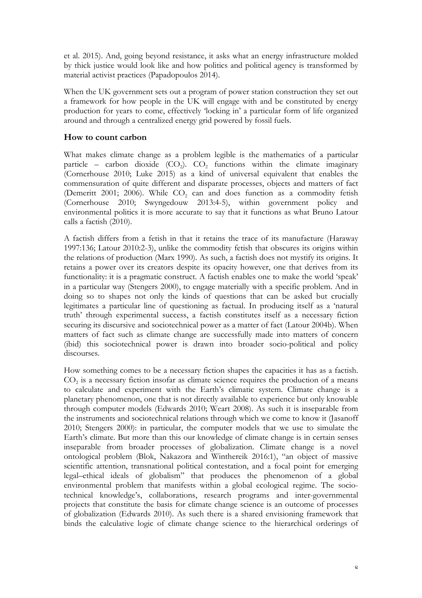et al. 2015). And, going beyond resistance, it asks what an energy infrastructure molded by thick justice would look like and how politics and political agency is transformed by material activist practices (Papadopoulos 2014).

When the UK government sets out a program of power station construction they set out a framework for how people in the UK will engage with and be constituted by energy production for years to come, effectively 'locking in' a particular form of life organized around and through a centralized energy grid powered by fossil fuels.

## **How to count carbon**

What makes climate change as a problem legible is the mathematics of a particular particle – carbon dioxide  $(CO_2)$ .  $CO_2$  functions within the climate imaginary (Cornerhouse 2010; Luke 2015) as a kind of universal equivalent that enables the commensuration of quite different and disparate processes, objects and matters of fact (Demeritt 2001; 2006). While  $CO<sub>2</sub>$  can and does function as a commodity fetish (Cornerhouse 2010; Swyngedouw 2013:4-5), within government policy and environmental politics it is more accurate to say that it functions as what Bruno Latour calls a factish (2010).

A factish differs from a fetish in that it retains the trace of its manufacture (Haraway 1997:136; Latour 2010:2-3), unlike the commodity fetish that obscures its origins within the relations of production (Marx 1990). As such, a factish does not mystify its origins. It retains a power over its creators despite its opacity however, one that derives from its functionality: it is a pragmatic construct. A factish enables one to make the world 'speak' in a particular way (Stengers 2000), to engage materially with a specific problem. And in doing so to shapes not only the kinds of questions that can be asked but crucially legitimates a particular line of questioning as factual. In producing itself as a 'natural truth' through experimental success, a factish constitutes itself as a necessary fiction securing its discursive and sociotechnical power as a matter of fact (Latour 2004b). When matters of fact such as climate change are successfully made into matters of concern (ibid) this sociotechnical power is drawn into broader socio-political and policy discourses.

How something comes to be a necessary fiction shapes the capacities it has as a factish.  $CO<sub>2</sub>$  is a necessary fiction insofar as climate science requires the production of a means to calculate and experiment with the Earth's climatic system. Climate change is a planetary phenomenon, one that is not directly available to experience but only knowable through computer models (Edwards 2010; Weart 2008). As such it is inseparable from the instruments and sociotechnical relations through which we come to know it (Jasanoff 2010; Stengers 2000): in particular, the computer models that we use to simulate the Earth's climate. But more than this our knowledge of climate change is in certain senses inseparable from broader processes of globalization. Climate change is a novel ontological problem (Blok, Nakazora and Winthereik 2016:1), "an object of massive scientific attention, transnational political contestation, and a focal point for emerging legal–ethical ideals of globalism" that produces the phenomenon of a global environmental problem that manifests within a global ecological regime. The sociotechnical knowledge's, collaborations, research programs and inter-governmental projects that constitute the basis for climate change science is an outcome of processes of globalization (Edwards 2010). As such there is a shared envisioning framework that binds the calculative logic of climate change science to the hierarchical orderings of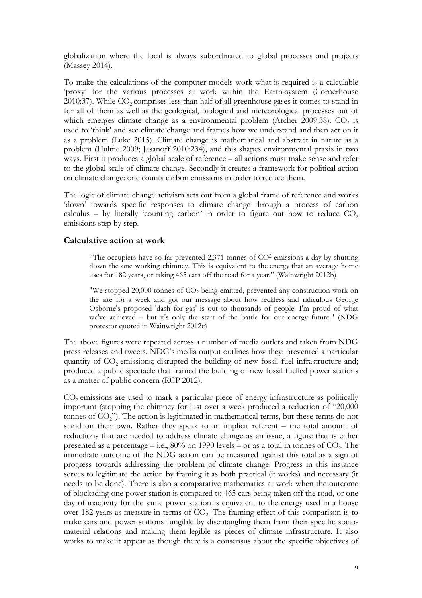globalization where the local is always subordinated to global processes and projects (Massey 2014).

To make the calculations of the computer models work what is required is a calculable 'proxy' for the various processes at work within the Earth-system (Cornerhouse 2010:37). While  $CO_2$  comprises less than half of all greenhouse gases it comes to stand in for all of them as well as the geological, biological and meteorological processes out of which emerges climate change as a environmental problem (Archer 2009:38).  $CO<sub>2</sub>$  is used to 'think' and see climate change and frames how we understand and then act on it as a problem (Luke 2015). Climate change is mathematical and abstract in nature as a problem (Hulme 2009; Jasanoff 2010:234), and this shapes environmental praxis in two ways. First it produces a global scale of reference – all actions must make sense and refer to the global scale of climate change. Secondly it creates a framework for political action on climate change: one counts carbon emissions in order to reduce them.

The logic of climate change activism sets out from a global frame of reference and works 'down' towards specific responses to climate change through a process of carbon calculus – by literally 'counting carbon' in order to figure out how to reduce  $CO<sub>2</sub>$ emissions step by step.

#### **Calculative action at work**

"The occupiers have so far prevented 2,371 tonnes of  $CO<sup>2</sup>$  emissions a day by shutting down the one working chimney. This is equivalent to the energy that an average home uses for 182 years, or taking 465 cars off the road for a year." (Wainwright 2012b)

"We stopped  $20,000$  tonnes of  $CO<sub>2</sub>$  being emitted, prevented any construction work on the site for a week and got our message about how reckless and ridiculous George Osborne's proposed 'dash for gas' is out to thousands of people. I'm proud of what we've achieved – but it's only the start of the battle for our energy future." (NDG protestor quoted in Wainwright 2012c)

The above figures were repeated across a number of media outlets and taken from NDG press releases and tweets. NDG's media output outlines how they: prevented a particular quantity of  $CO<sub>2</sub>$  emissions; disrupted the building of new fossil fuel infrastructure and; produced a public spectacle that framed the building of new fossil fuelled power stations as a matter of public concern (RCP 2012).

 $CO<sub>2</sub>$  emissions are used to mark a particular piece of energy infrastructure as politically important (stopping the chimney for just over a week produced a reduction of "20,000 tonnes of CO<sub>2</sub>"). The action is legitimated in mathematical terms, but these terms do not stand on their own. Rather they speak to an implicit referent – the total amount of reductions that are needed to address climate change as an issue, a figure that is either presented as a percentage – i.e.,  $80\%$  on 1990 levels – or as a total in tonnes of  $CO<sub>2</sub>$ . The immediate outcome of the NDG action can be measured against this total as a sign of progress towards addressing the problem of climate change. Progress in this instance serves to legitimate the action by framing it as both practical (it works) and necessary (it needs to be done). There is also a comparative mathematics at work when the outcome of blockading one power station is compared to 465 cars being taken off the road, or one day of inactivity for the same power station is equivalent to the energy used in a house over 182 years as measure in terms of  $CO<sub>2</sub>$ . The framing effect of this comparison is to make cars and power stations fungible by disentangling them from their specific sociomaterial relations and making them legible as pieces of climate infrastructure. It also works to make it appear as though there is a consensus about the specific objectives of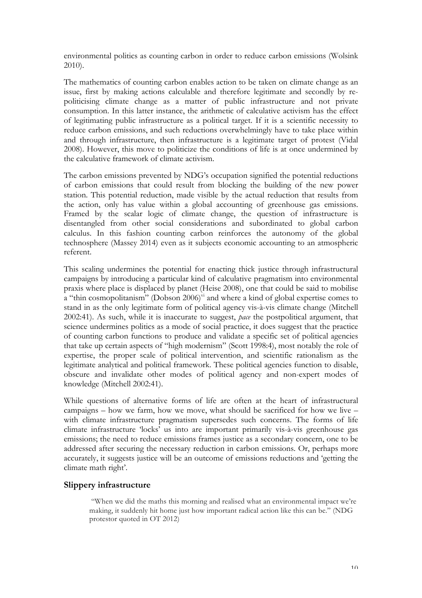environmental politics as counting carbon in order to reduce carbon emissions (Wolsink 2010).

The mathematics of counting carbon enables action to be taken on climate change as an issue, first by making actions calculable and therefore legitimate and secondly by repoliticising climate change as a matter of public infrastructure and not private consumption. In this latter instance, the arithmetic of calculative activism has the effect of legitimating public infrastructure as a political target. If it is a scientific necessity to reduce carbon emissions, and such reductions overwhelmingly have to take place within and through infrastructure, then infrastructure is a legitimate target of protest (Vidal 2008). However, this move to politicize the conditions of life is at once undermined by the calculative framework of climate activism.

The carbon emissions prevented by NDG's occupation signified the potential reductions of carbon emissions that could result from blocking the building of the new power station. This potential reduction, made visible by the actual reduction that results from the action, only has value within a global accounting of greenhouse gas emissions. Framed by the scalar logic of climate change, the question of infrastructure is disentangled from other social considerations and subordinated to global carbon calculus. In this fashion counting carbon reinforces the autonomy of the global technosphere (Massey 2014) even as it subjects economic accounting to an atmospheric referent.

This scaling undermines the potential for enacting thick justice through infrastructural campaigns by introducing a particular kind of calculative pragmatism into environmental praxis where place is displaced by planet (Heise 2008), one that could be said to mobilise a "thin cosmopolitanism" (Dobson 2006)<sup>vi</sup> and where a kind of global expertise comes to stand in as the only legitimate form of political agency vis-à-vis climate change (Mitchell 2002:41). As such, while it is inaccurate to suggest, *pace* the postpolitical argument, that science undermines politics as a mode of social practice, it does suggest that the practice of counting carbon functions to produce and validate a specific set of political agencies that take up certain aspects of "high modernism" (Scott 1998:4), most notably the role of expertise, the proper scale of political intervention, and scientific rationalism as the legitimate analytical and political framework. These political agencies function to disable, obscure and invalidate other modes of political agency and non-expert modes of knowledge (Mitchell 2002:41).

While questions of alternative forms of life are often at the heart of infrastructural campaigns – how we farm, how we move, what should be sacrificed for how we live – with climate infrastructure pragmatism supersedes such concerns. The forms of life climate infrastructure 'locks' us into are important primarily vis-à-vis greenhouse gas emissions; the need to reduce emissions frames justice as a secondary concern, one to be addressed after securing the necessary reduction in carbon emissions. Or, perhaps more accurately, it suggests justice will be an outcome of emissions reductions and 'getting the climate math right'.

### **Slippery infrastructure**

"When we did the maths this morning and realised what an environmental impact we're making, it suddenly hit home just how important radical action like this can be." (NDG protestor quoted in OT 2012)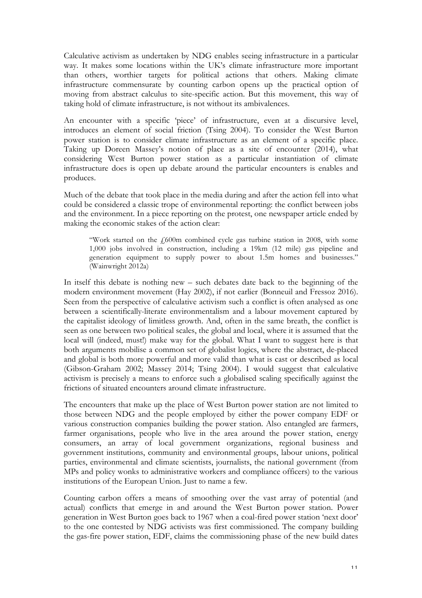Calculative activism as undertaken by NDG enables seeing infrastructure in a particular way. It makes some locations within the UK's climate infrastructure more important than others, worthier targets for political actions that others. Making climate infrastructure commensurate by counting carbon opens up the practical option of moving from abstract calculus to site-specific action. But this movement, this way of taking hold of climate infrastructure, is not without its ambivalences.

An encounter with a specific 'piece' of infrastructure, even at a discursive level, introduces an element of social friction (Tsing 2004). To consider the West Burton power station is to consider climate infrastructure as an element of a specific place. Taking up Doreen Massey's notion of place as a site of encounter (2014), what considering West Burton power station as a particular instantiation of climate infrastructure does is open up debate around the particular encounters is enables and produces.

Much of the debate that took place in the media during and after the action fell into what could be considered a classic trope of environmental reporting: the conflict between jobs and the environment. In a piece reporting on the protest, one newspaper article ended by making the economic stakes of the action clear:

"Work started on the £600m combined cycle gas turbine station in 2008, with some 1,000 jobs involved in construction, including a 19km (12 mile) gas pipeline and generation equipment to supply power to about 1.5m homes and businesses." (Wainwright 2012a)

In itself this debate is nothing new – such debates date back to the beginning of the modern environment movement (Hay 2002), if not earlier (Bonneuil and Fressoz 2016). Seen from the perspective of calculative activism such a conflict is often analysed as one between a scientifically-literate environmentalism and a labour movement captured by the capitalist ideology of limitless growth. And, often in the same breath, the conflict is seen as one between two political scales, the global and local, where it is assumed that the local will (indeed, must!) make way for the global. What I want to suggest here is that both arguments mobilise a common set of globalist logics, where the abstract, de-placed and global is both more powerful and more valid than what is cast or described as local (Gibson-Graham 2002; Massey 2014; Tsing 2004). I would suggest that calculative activism is precisely a means to enforce such a globalised scaling specifically against the frictions of situated encounters around climate infrastructure.

The encounters that make up the place of West Burton power station are not limited to those between NDG and the people employed by either the power company EDF or various construction companies building the power station. Also entangled are farmers, farmer organisations, people who live in the area around the power station, energy consumers, an array of local government organizations, regional business and government institutions, community and environmental groups, labour unions, political parties, environmental and climate scientists, journalists, the national government (from MPs and policy wonks to administrative workers and compliance officers) to the various institutions of the European Union. Just to name a few.

Counting carbon offers a means of smoothing over the vast array of potential (and actual) conflicts that emerge in and around the West Burton power station. Power generation in West Burton goes back to 1967 when a coal-fired power station 'next door' to the one contested by NDG activists was first commissioned. The company building the gas-fire power station, EDF, claims the commissioning phase of the new build dates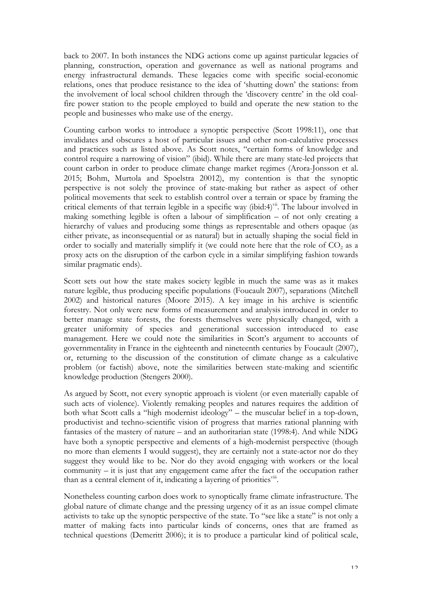back to 2007. In both instances the NDG actions come up against particular legacies of planning, construction, operation and governance as well as national programs and energy infrastructural demands. These legacies come with specific social-economic relations, ones that produce resistance to the idea of 'shutting down' the stations: from the involvement of local school children through the 'discovery centre' in the old coalfire power station to the people employed to build and operate the new station to the people and businesses who make use of the energy.

Counting carbon works to introduce a synoptic perspective (Scott 1998:11), one that invalidates and obscures a host of particular issues and other non-calculative processes and practices such as listed above. As Scott notes, "certain forms of knowledge and control require a narrowing of vision" (ibid). While there are many state-led projects that count carbon in order to produce climate change market regimes (Arora-Jonsson et al. 2015; Bohm, Murtola and Spoelstra 20012), my contention is that the synoptic perspective is not solely the province of state-making but rather as aspect of other political movements that seek to establish control over a terrain or space by framing the critical elements of that terrain legible in a specific way (ibid:4)<sup>vii</sup>. The labour involved in making something legible is often a labour of simplification – of not only creating a hierarchy of values and producing some things as representable and others opaque (as either private, as inconsequential or as natural) but in actually shaping the social field in order to socially and materially simplify it (we could note here that the role of  $CO<sub>2</sub>$  as a proxy acts on the disruption of the carbon cycle in a similar simplifying fashion towards similar pragmatic ends).

Scott sets out how the state makes society legible in much the same was as it makes nature legible, thus producing specific populations (Foucault 2007), separations (Mitchell 2002) and historical natures (Moore 2015). A key image in his archive is scientific forestry. Not only were new forms of measurement and analysis introduced in order to better manage state forests, the forests themselves were physically changed, with a greater uniformity of species and generational succession introduced to ease management. Here we could note the similarities in Scott's argument to accounts of governmentality in France in the eighteenth and nineteenth centuries by Foucault (2007), or, returning to the discussion of the constitution of climate change as a calculative problem (or factish) above, note the similarities between state-making and scientific knowledge production (Stengers 2000).

As argued by Scott, not every synoptic approach is violent (or even materially capable of such acts of violence). Violently remaking peoples and natures requires the addition of both what Scott calls a "high modernist ideology" – the muscular belief in a top-down, productivist and techno-scientific vision of progress that marries rational planning with fantasies of the mastery of nature – and an authoritarian state (1998:4). And while NDG have both a synoptic perspective and elements of a high-modernist perspective (though no more than elements I would suggest), they are certainly not a state-actor nor do they suggest they would like to be. Nor do they avoid engaging with workers or the local community – it is just that any engagement came after the fact of the occupation rather than as a central element of it, indicating a layering of priorities<sup>viii</sup>.

Nonetheless counting carbon does work to synoptically frame climate infrastructure. The global nature of climate change and the pressing urgency of it as an issue compel climate activists to take up the synoptic perspective of the state. To "see like a state" is not only a matter of making facts into particular kinds of concerns, ones that are framed as technical questions (Demeritt 2006); it is to produce a particular kind of political scale,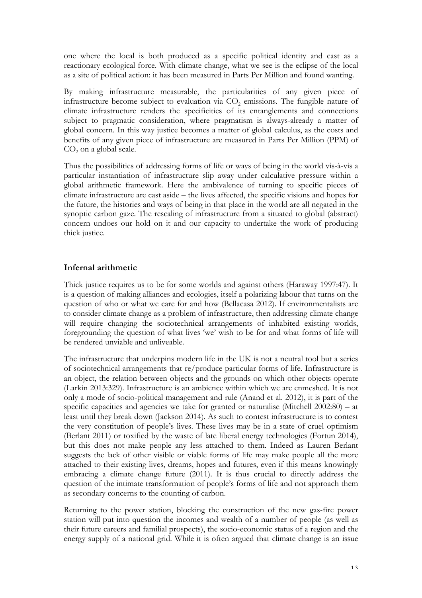one where the local is both produced as a specific political identity and cast as a reactionary ecological force. With climate change, what we see is the eclipse of the local as a site of political action: it has been measured in Parts Per Million and found wanting.

By making infrastructure measurable, the particularities of any given piece of infrastructure become subject to evaluation via  $CO<sub>2</sub>$  emissions. The fungible nature of climate infrastructure renders the specificities of its entanglements and connections subject to pragmatic consideration, where pragmatism is always-already a matter of global concern. In this way justice becomes a matter of global calculus, as the costs and benefits of any given piece of infrastructure are measured in Parts Per Million (PPM) of  $CO<sub>2</sub>$  on a global scale.

Thus the possibilities of addressing forms of life or ways of being in the world vis-à-vis a particular instantiation of infrastructure slip away under calculative pressure within a global arithmetic framework. Here the ambivalence of turning to specific pieces of climate infrastructure are cast aside – the lives affected, the specific visions and hopes for the future, the histories and ways of being in that place in the world are all negated in the synoptic carbon gaze. The rescaling of infrastructure from a situated to global (abstract) concern undoes our hold on it and our capacity to undertake the work of producing thick justice.

## **Infernal arithmetic**

Thick justice requires us to be for some worlds and against others (Haraway 1997:47). It is a question of making alliances and ecologies, itself a polarizing labour that turns on the question of who or what we care for and how (Bellacasa 2012). If environmentalists are to consider climate change as a problem of infrastructure, then addressing climate change will require changing the sociotechnical arrangements of inhabited existing worlds, foregrounding the question of what lives 'we' wish to be for and what forms of life will be rendered unviable and unliveable.

The infrastructure that underpins modern life in the UK is not a neutral tool but a series of sociotechnical arrangements that re/produce particular forms of life. Infrastructure is an object, the relation between objects and the grounds on which other objects operate (Larkin 2013:329). Infrastructure is an ambience within which we are enmeshed. It is not only a mode of socio-political management and rule (Anand et al. 2012), it is part of the specific capacities and agencies we take for granted or naturalise (Mitchell 2002:80) – at least until they break down (Jackson 2014). As such to contest infrastructure is to contest the very constitution of people's lives. These lives may be in a state of cruel optimism (Berlant 2011) or toxified by the waste of late liberal energy technologies (Fortun 2014), but this does not make people any less attached to them. Indeed as Lauren Berlant suggests the lack of other visible or viable forms of life may make people all the more attached to their existing lives, dreams, hopes and futures, even if this means knowingly embracing a climate change future (2011). It is thus crucial to directly address the question of the intimate transformation of people's forms of life and not approach them as secondary concerns to the counting of carbon.

Returning to the power station, blocking the construction of the new gas-fire power station will put into question the incomes and wealth of a number of people (as well as their future careers and familial prospects), the socio-economic status of a region and the energy supply of a national grid. While it is often argued that climate change is an issue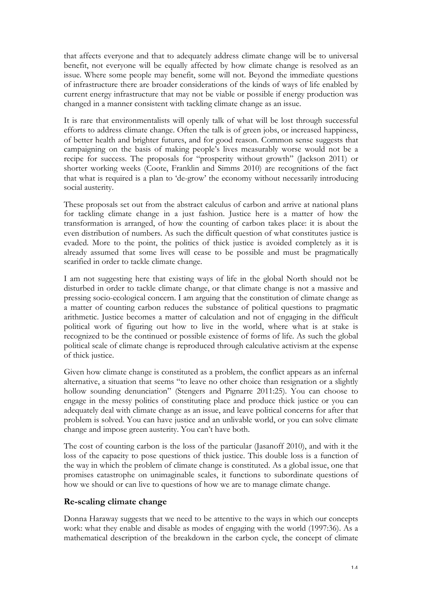that affects everyone and that to adequately address climate change will be to universal benefit, not everyone will be equally affected by how climate change is resolved as an issue. Where some people may benefit, some will not. Beyond the immediate questions of infrastructure there are broader considerations of the kinds of ways of life enabled by current energy infrastructure that may not be viable or possible if energy production was changed in a manner consistent with tackling climate change as an issue.

It is rare that environmentalists will openly talk of what will be lost through successful efforts to address climate change. Often the talk is of green jobs, or increased happiness, of better health and brighter futures, and for good reason. Common sense suggests that campaigning on the basis of making people's lives measurably worse would not be a recipe for success. The proposals for "prosperity without growth" (Jackson 2011) or shorter working weeks (Coote, Franklin and Simms 2010) are recognitions of the fact that what is required is a plan to 'de-grow' the economy without necessarily introducing social austerity.

These proposals set out from the abstract calculus of carbon and arrive at national plans for tackling climate change in a just fashion. Justice here is a matter of how the transformation is arranged, of how the counting of carbon takes place: it is about the even distribution of numbers. As such the difficult question of what constitutes justice is evaded. More to the point, the politics of thick justice is avoided completely as it is already assumed that some lives will cease to be possible and must be pragmatically scarified in order to tackle climate change.

I am not suggesting here that existing ways of life in the global North should not be disturbed in order to tackle climate change, or that climate change is not a massive and pressing socio-ecological concern. I am arguing that the constitution of climate change as a matter of counting carbon reduces the substance of political questions to pragmatic arithmetic. Justice becomes a matter of calculation and not of engaging in the difficult political work of figuring out how to live in the world, where what is at stake is recognized to be the continued or possible existence of forms of life. As such the global political scale of climate change is reproduced through calculative activism at the expense of thick justice.

Given how climate change is constituted as a problem, the conflict appears as an infernal alternative, a situation that seems "to leave no other choice than resignation or a slightly hollow sounding denunciation" (Stengers and Pignarre 2011:25). You can choose to engage in the messy politics of constituting place and produce thick justice or you can adequately deal with climate change as an issue, and leave political concerns for after that problem is solved. You can have justice and an unlivable world, or you can solve climate change and impose green austerity. You can't have both.

The cost of counting carbon is the loss of the particular (Jasanoff 2010), and with it the loss of the capacity to pose questions of thick justice. This double loss is a function of the way in which the problem of climate change is constituted. As a global issue, one that promises catastrophe on unimaginable scales, it functions to subordinate questions of how we should or can live to questions of how we are to manage climate change.

### **Re-scaling climate change**

Donna Haraway suggests that we need to be attentive to the ways in which our concepts work: what they enable and disable as modes of engaging with the world (1997:36). As a mathematical description of the breakdown in the carbon cycle, the concept of climate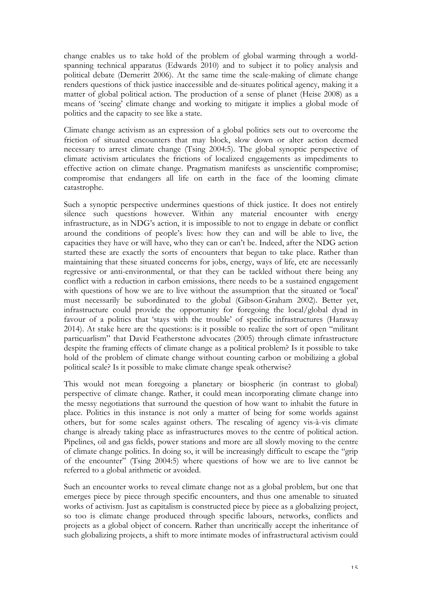change enables us to take hold of the problem of global warming through a worldspanning technical apparatus (Edwards 2010) and to subject it to policy analysis and political debate (Demeritt 2006). At the same time the scale-making of climate change renders questions of thick justice inaccessible and de-situates political agency, making it a matter of global political action. The production of a sense of planet (Heise 2008) as a means of 'seeing' climate change and working to mitigate it implies a global mode of politics and the capacity to see like a state.

Climate change activism as an expression of a global politics sets out to overcome the friction of situated encounters that may block, slow down or alter action deemed necessary to arrest climate change (Tsing 2004:5). The global synoptic perspective of climate activism articulates the frictions of localized engagements as impediments to effective action on climate change. Pragmatism manifests as unscientific compromise; compromise that endangers all life on earth in the face of the looming climate catastrophe.

Such a synoptic perspective undermines questions of thick justice. It does not entirely silence such questions however. Within any material encounter with energy infrastructure, as in NDG's action, it is impossible to not to engage in debate or conflict around the conditions of people's lives: how they can and will be able to live, the capacities they have or will have, who they can or can't be. Indeed, after the NDG action started these are exactly the sorts of encounters that begun to take place. Rather than maintaining that these situated concerns for jobs, energy, ways of life, etc are necessarily regressive or anti-environmental, or that they can be tackled without there being any conflict with a reduction in carbon emissions, there needs to be a sustained engagement with questions of how we are to live without the assumption that the situated or 'local' must necessarily be subordinated to the global (Gibson-Graham 2002). Better yet, infrastructure could provide the opportunity for foregoing the local/global dyad in favour of a politics that 'stays with the trouble' of specific infrastructures (Haraway 2014). At stake here are the questions: is it possible to realize the sort of open "militant particuarlism" that David Featherstone advocates (2005) through climate infrastructure despite the framing effects of climate change as a political problem? Is it possible to take hold of the problem of climate change without counting carbon or mobilizing a global political scale? Is it possible to make climate change speak otherwise?

This would not mean foregoing a planetary or biospheric (in contrast to global) perspective of climate change. Rather, it could mean incorporating climate change into the messy negotiations that surround the question of how want to inhabit the future in place. Politics in this instance is not only a matter of being for some worlds against others, but for some scales against others. The rescaling of agency vis-à-vis climate change is already taking place as infrastructures moves to the centre of political action. Pipelines, oil and gas fields, power stations and more are all slowly moving to the centre of climate change politics. In doing so, it will be increasingly difficult to escape the "grip of the encounter" (Tsing 2004:5) where questions of how we are to live cannot be referred to a global arithmetic or avoided.

Such an encounter works to reveal climate change not as a global problem, but one that emerges piece by piece through specific encounters, and thus one amenable to situated works of activism. Just as capitalism is constructed piece by piece as a globalizing project, so too is climate change produced through specific labours, networks, conflicts and projects as a global object of concern. Rather than uncritically accept the inheritance of such globalizing projects, a shift to more intimate modes of infrastructural activism could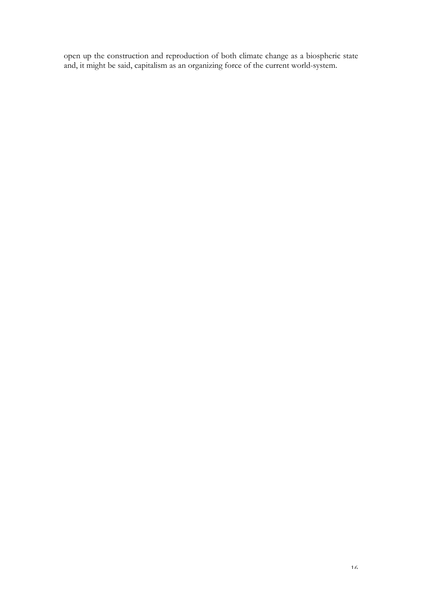open up the construction and reproduction of both climate change as a biospheric state and, it might be said, capitalism as an organizing force of the current world-system.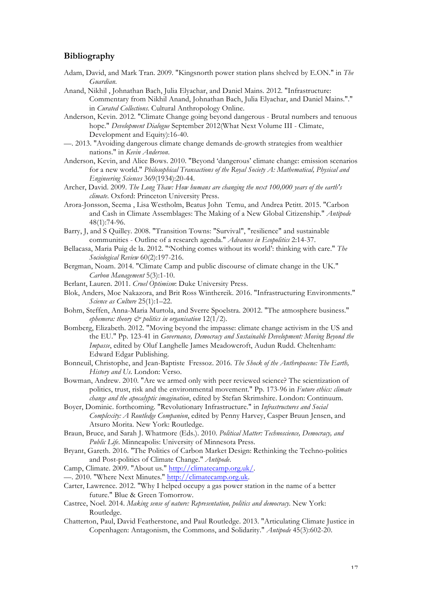#### **Bibliography**

- Adam, David, and Mark Tran. 2009. "Kingsnorth power station plans shelved by E.ON." in *The Guardian*.
- Anand, Nikhil , Johnathan Bach, Julia Elyachar, and Daniel Mains. 2012. "Infrastructure: Commentary from Nikhil Anand, Johnathan Bach, Julia Elyachar, and Daniel Mains."." in *Curated Collections*. Cultural Anthropology Online.
- Anderson, Kevin. 2012. "Climate Change going beyond dangerous Brutal numbers and tenuous hope." *Development Dialogue* September 2012(What Next Volume III - Climate, Development and Equity):16-40.
- —. 2013. "Avoiding dangerous climate change demands de-growth strategies from wealthier nations." in *Kevin Anderson*.
- Anderson, Kevin, and Alice Bows. 2010. "Beyond 'dangerous' climate change: emission scenarios for a new world." *Philosophical Transactions of the Royal Society A: Mathematical, Physical and Engineering Sciences* 369(1934):20-44.
- Archer, David. 2009. *The Long Thaw: How humans are changing the next 100,000 years of the earth's climate*. Oxford: Princeton University Press.
- Arora-Jonsson, Seema , Lisa Westholm, Beatus John Temu, and Andrea Petitt. 2015. "Carbon and Cash in Climate Assemblages: The Making of a New Global Citizenship." *Antipode* 48(1):74-96.
- Barry, J, and S Quilley. 2008. "Transition Towns: "Survival", "resilience" and sustainable communities - Outline of a research agenda." *Advances in Ecopolitics* 2:14-37.
- Bellacasa, Maria Puig de la. 2012. "'Nothing comes without its world': thinking with care." *The Sociological Review* 60(2):197-216.
- Bergman, Noam. 2014. "Climate Camp and public discourse of climate change in the UK." *Carbon Management* 5(3):1-10.
- Berlant, Lauren. 2011. *Cruel Optimism*: Duke University Press.
- Blok, Anders, Moe Nakazora, and Brit Ross Winthereik. 2016. "Infrastructuring Environments." *Science as Culture* 25(1):1–22.
- Bohm, Steffen, Anna-Maria Murtola, and Sverre Spoelstra. 20012. "The atmosphere business." *ephemera: theory & politics in organisation* 12(1/2).
- Bomberg, Elizabeth. 2012. "Moving beyond the impasse: climate change activism in the US and the EU." Pp. 123-41 in *Governance, Democracy and Sustainable Development: Moving Beyond the Impasse*, edited by Oluf Langhelle James Meadowcroft, Audun Rudd. Cheltenham: Edward Edgar Publishing.
- Bonneuil, Christophe, and Jean-Baptiste Fressoz. 2016. *The Shock of the Anthropocene: The Earth, History and Us*. London: Verso.
- Bowman, Andrew. 2010. "Are we armed only with peer reviewed science? The scientization of politics, trust, risk and the environmental movement." Pp. 173-96 in *Future ethics: climate change and the apocalyptic imagination*, edited by Stefan Skrimshire. London: Continuum.
- Boyer, Dominic. forthcoming. "Revolutionary Infrastructure." in *Infrastructures and Social Complexity: A Routledge Companion*, edited by Penny Harvey, Casper Bruun Jensen, and Atsuro Morita. New York: Routledge.
- Braun, Bruce, and Sarah J. Whatmore (Eds.). 2010. *Political Matter: Technoscience, Democracy, and Public Life*. Minneapolis: University of Minnesota Press.
- Bryant, Gareth. 2016. "The Politics of Carbon Market Design: Rethinking the Techno-politics and Post-politics of Climate Change." *Antipode*.

Camp, Climate. 2009. "About us." http://climatecamp.org.uk/.

—. 2010. "Where Next Minutes." http://climatecamp.org.uk.

- Carter, Lawrence. 2012. "Why I helped occupy a gas power station in the name of a better future." Blue & Green Tomorrow.
- Castree, Noel. 2014. *Making sense of nature: Representation, politics and democracy*. New York: Routledge.
- Chatterton, Paul, David Featherstone, and Paul Routledge. 2013. "Articulating Climate Justice in Copenhagen: Antagonism, the Commons, and Solidarity." *Antipode* 45(3):602-20.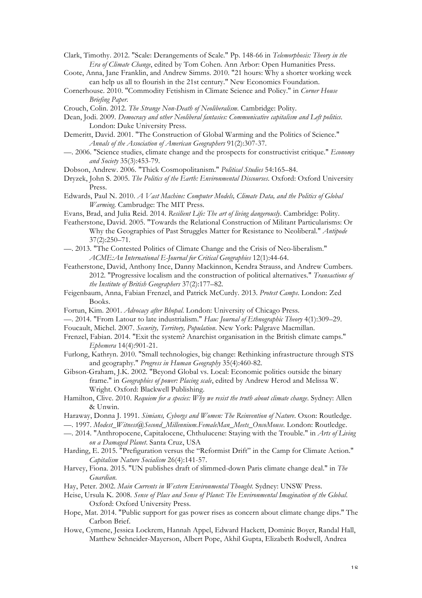Clark, Timothy. 2012. "Scale: Derangements of Scale." Pp. 148-66 in *Telemorphosis: Theory in the Era of Climate Change*, edited by Tom Cohen. Ann Arbor: Open Humanities Press.

Coote, Anna, Jane Franklin, and Andrew Simms. 2010. "21 hours: Why a shorter working week can help us all to flourish in the 21st century." New Economics Foundation.

Cornerhouse. 2010. "Commodity Fetishism in Climate Science and Policy." in *Corner House Briefing Paper*.

Crouch, Colin. 2012. *The Strange Non-Death of Neoliberalism*. Cambridge: Polity.

Dean, Jodi. 2009. *Democracy and other Neoliberal fantasies: Communicative capitalism and Left politics*. London: Duke University Press.

- Demeritt, David. 2001. "The Construction of Global Warming and the Politics of Science." *Annals of the Association of American Geographers* 91(2):307-37.
- —. 2006. "Science studies, climate change and the prospects for constructivist critique." *Economy and Society* 35(3):453-79.

Dobson, Andrew. 2006. "Thick Cosmopolitanism." *Political Studies* 54:165–84.

Dryzek, John S. 2005. *The Politics of the Earth: Environmental Discourses*. Oxford: Oxford University Press.

- Edwards, Paul N. 2010. *A Vast Machine: Computer Models, Climate Data, and the Politics of Global Warming*. Cambrudge: The MIT Press.
- Evans, Brad, and Julia Reid. 2014. *Resilient Life: The art of living dangerously*. Cambridge: Polity.
- Featherstone, David. 2005. "Towards the Relational Construction of Militant Particularisms: Or Why the Geographies of Past Struggles Matter for Resistance to Neoliberal." *Antipode* 37(2):250–71.
- —. 2013. "The Contested Politics of Climate Change and the Crisis of Neo-liberalism." *ACME:An International E-Journal for Critical Geographies* 12(1):44-64.
- Featherstone, David, Anthony Ince, Danny Mackinnon, Kendra Strauss, and Andrew Cumbers. 2012. "Progressive localism and the construction of political alternatives." *Transactions of the Institute of British Geographers* 37(2):177–82.
- Feigenbaum, Anna, Fabian Frenzel, and Patrick McCurdy. 2013. *Protest Camps*. London: Zed Books.
- Fortun, Kim. 2001. *Advocacy after Bhopal*. London: University of Chicago Press.
- —. 2014. "From Latour to late industrialism." *Hau: Journal of Ethnographic Theory* 4(1):309–29.
- Foucault, Michel. 2007. *Security, Territory, Population*. New York: Palgrave Macmillan.
- Frenzel, Fabian. 2014. "Exit the system? Anarchist organisation in the British climate camps." *Ephemera* 14(4):901-21.
- Furlong, Kathryn. 2010. "Small technologies, big change: Rethinking infrastructure through STS and geography." *Progress in Human Geography* 35(4):460-82.
- Gibson-Graham, J.K. 2002. "Beyond Global vs. Local: Economic politics outside the binary frame." in *Geographies of power: Placing scale*, edited by Andrew Herod and Melissa W. Wright. Oxford: Blackwell Publishing.
- Hamilton, Clive. 2010. *Requiem for a species: Why we resist the truth about climate change*. Sydney: Allen & Unwin.
- Haraway, Donna J. 1991. *Simians, Cyborgs and Women: The Reinvention of Nature*. Oxon: Routledge.
- —. 1997. *Modest\_Witness@Second\_Millennium.FemaleMan\_Meets\_OncoMouse*. London: Routledge.
- —. 2014. "Anthropocene, Capitalocene, Chthulucene: Staying with the Trouble." in *Arts of Living on a Damaged Planet*. Santa Cruz, USA
- Harding, E. 2015. "Prefiguration versus the "Reformist Drift" in the Camp for Climate Action." *Capitalism Nature Socialism* 26(4):141-57.
- Harvey, Fiona. 2015. "UN publishes draft of slimmed-down Paris climate change deal." in *The Guardian*.
- Hay, Peter. 2002. *Main Currents in Western Environmental Thought*. Sydney: UNSW Press.
- Heise, Ursula K. 2008. *Sense of Place and Sense of Planet: The Environmental Imagination of the Global*. Oxford: Oxford University Press.
- Hope, Mat. 2014. "Public support for gas power rises as concern about climate change dips." The Carbon Brief.
- Howe, Cymene, Jessica Lockrem, Hannah Appel, Edward Hackett, Dominic Boyer, Randal Hall, Matthew Schneider-Mayerson, Albert Pope, Akhil Gupta, Elizabeth Rodwell, Andrea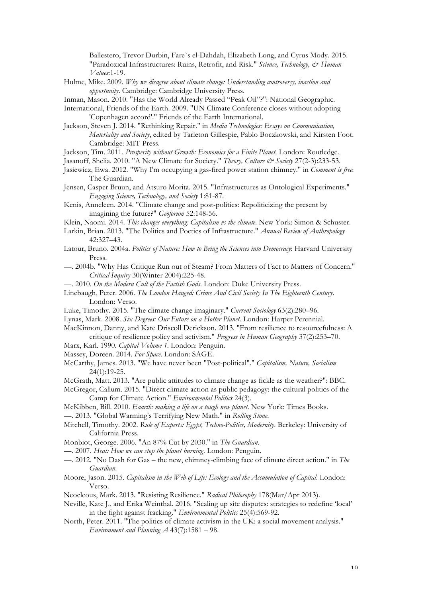Ballestero, Trevor Durbin, Fare`s el-Dahdah, Elizabeth Long, and Cyrus Mody. 2015. "Paradoxical Infrastructures: Ruins, Retrofit, and Risk." *Science, Technology, & Human Values*:1-19.

Hulme, Mike. 2009. *Why we disagree about climate change: Understanding controversy, inaction and opportunity*. Cambridge: Cambridge University Press.

Inman, Mason. 2010. "Has the World Already Passed "Peak Oil"?": National Geographic.

- International, Friends of the Earth. 2009. "UN Climate Conference closes without adopting 'Copenhagen accord'." Friends of the Earth International.
- Jackson, Steven J. 2014. "Rethinking Repair." in *Media Technologies: Essays on Communication, Materiality and Society*, edited by Tarleton Gillespie, Pablo Boczkowski, and Kirsten Foot. Cambridge: MIT Press.
- Jackson, Tim. 2011. *Prosperity without Growth: Economics for a Finite Planet*. London: Routledge.

Jasanoff, Shelia. 2010. "A New Climate for Society." *Theory, Culture & Society* 27(2-3):233-53.

- Jasiewicz, Ewa. 2012. "Why I'm occupying a gas-fired power station chimney." in *Comment is free*: The Guardian.
- Jensen, Casper Bruun, and Atsuro Morita. 2015. "Infrastructures as Ontological Experiments." *Engaging Science, Technology, and Society* 1:81-87.
- Kenis, Anneleen. 2014. "Climate change and post-politics: Repoliticizing the present by imagining the future?" *Geoforum* 52:148-56.
- Klein, Naomi. 2014. *This changes everything: Capitalism vs the climate*. New York: Simon & Schuster.
- Larkin, Brian. 2013. "The Politics and Poetics of Infrastructure." *Annual Review of Anthropology* 42:327–43.
- Latour, Bruno. 2004a. *Politics of Nature: How to Bring the Sciences into Democracy*: Harvard University Press.
- —. 2004b. "Why Has Critique Run out of Steam? From Matters of Fact to Matters of Concern." *Critical Inquiry* 30(Winter 2004):225-48.
- —. 2010. *On the Modern Cult of the Factish Gods*. London: Duke University Press.
- Linebaugh, Peter. 2006. *The London Hanged: Crime And Civil Society In The Eighteenth Century*. London: Verso.
- Luke, Timothy. 2015. "The climate change imaginary." *Current Sociology* 63(2):280–96.
- Lynas, Mark. 2008. *Six Degrees: Our Future on a Hotter Planet*. London: Harper Perennial.

MacKinnon, Danny, and Kate Driscoll Derickson. 2013. "From resilience to resourcefulness: A critique of resilience policy and activism." *Progress in Human Geography* 37(2):253–70.

- Marx, Karl. 1990. *Capital Volume 1*. London: Penguin.
- Massey, Doreen. 2014. *For Space*. London: SAGE.
- McCarthy, James. 2013. "We have never been "Post-political"." *Capitalism, Nature, Socialism* 24(1):19-25.
- McGrath, Matt. 2013. "Are public attitudes to climate change as fickle as the weather?": BBC.
- McGregor, Callum. 2015. "Direct climate action as public pedagogy: the cultural politics of the Camp for Climate Action." *Environmental Politics* 24(3).
- McKibben, Bill. 2010. *Eaarth: making a life on a tough new planet*. New York: Times Books.
- —. 2013. "Global Warming's Terrifying New Math." in *Rolling Stone*.
- Mitchell, Timothy. 2002. *Rule of Experts: Egypt, Techno-Politics, Modernity*. Berkeley: University of California Press.
- Monbiot, George. 2006. "An 87% Cut by 2030." in *The Guardian*.
- —. 2007. *Heat: How we can stop the planet burning*. London: Penguin.
- —. 2012. "No Dash for Gas the new, chimney-climbing face of climate direct action." in *The Guardian*.
- Moore, Jason. 2015. *Capitalism in the Web of Life: Ecology and the Accumulation of Capital*. London: Verso.
- Neocleous, Mark. 2013. "Resisting Resilience." *Radical Philosophy* 178(Mar/Apr 2013).
- Neville, Kate J., and Erika Weinthal. 2016. "Scaling up site disputes: strategies to redefine 'local' in the fight against fracking." *Environmental Politics* 25(4):569-92.
- North, Peter. 2011. "The politics of climate activism in the UK: a social movement analysis." *Environment and Planning A* 43(7):1581 – 98.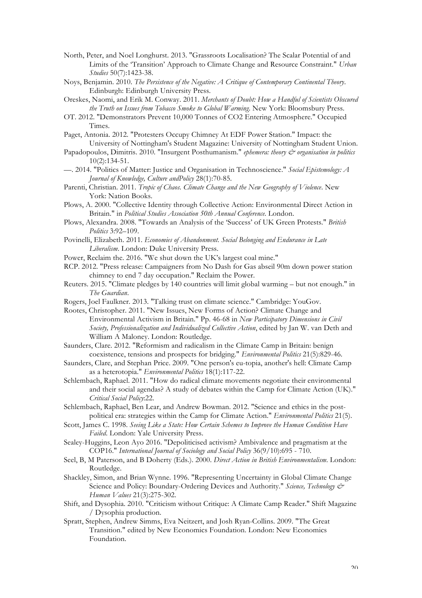- North, Peter, and Noel Longhurst. 2013. "Grassroots Localisation? The Scalar Potential of and Limits of the 'Transition' Approach to Climate Change and Resource Constraint." *Urban Studies* 50(7):1423-38.
- Noys, Benjamin. 2010. *The Persistence of the Negative: A Critique of Contemporary Continental Theory*. Edinburgh: Edinburgh University Press.
- Oreskes, Naomi, and Erik M. Conway. 2011. *Merchants of Doubt: How a Handful of Scientists Obscured the Truth on Issues from Tobacco Smoke to Global Warming*. New York: Bloomsbury Press.
- OT. 2012. "Demonstrators Prevent 10,000 Tonnes of CO2 Entering Atmosphere." Occupied Times.
- Paget, Antonia. 2012. "Protesters Occupy Chimney At EDF Power Station." Impact: the University of Nottingham's Student Magazine: University of Nottingham Student Union.
- Papadopoulos, Dimitris. 2010. "Insurgent Posthumanism." *ephemera: theory & organisation in politics* 10(2):134-51.
- —. 2014. "Politics of Matter: Justice and Organisation in Technoscience." *Social Epistemology: A Journal of Knowledge, Culture andPolicy* 28(1):70-85.
- Parenti, Christian. 2011. *Tropic of Chaos. Climate Change and the New Geography of Violence*. New York: Nation Books.
- Plows, A. 2000. "Collective Identity through Collective Action: Environmental Direct Action in Britain." in *Political Studies Association 50th Annual Conference*. London.
- Plows, Alexandra. 2008. "Towards an Analysis of the 'Success' of UK Green Protests." *British Politics* 3:92–109.
- Povinelli, Elizabeth. 2011. *Economies of Abandonment. Social Belonging and Endurance in Late Liberalism*. London: Duke University Press.
- Power, Reclaim the. 2016. "We shut down the UK's largest coal mine."
- RCP. 2012. "Press release: Campaigners from No Dash for Gas abseil 90m down power station chimney to end 7 day occupation." Reclaim the Power.
- Reuters. 2015. "Climate pledges by 140 countries will limit global warming but not enough." in *The Guardian*.
- Rogers, Joel Faulkner. 2013. "Talking trust on climate science." Cambridge: YouGov.
- Rootes, Christopher. 2011. "New Issues, New Forms of Action? Climate Change and Environmental Activism in Britain." Pp. 46-68 in *New Participatory Dimensions in Civil Society, Professionalization and Individualized Collective Action*, edited by Jan W. van Deth and William A Maloney. London: Routledge.
- Saunders, Clare. 2012. "Reformism and radicalism in the Climate Camp in Britain: benign coexistence, tensions and prospects for bridging." *Environmental Politics* 21(5):829-46.
- Saunders, Clare, and Stephan Price. 2009. "One person's eu-topia, another's hell: Climate Camp as a heterotopia." *Environmental Politics* 18(1):117-22.
- Schlembach, Raphael. 2011. "How do radical climate movements negotiate their environmental and their social agendas? A study of debates within the Camp for Climate Action (UK)." *Critical Social Policy*:22.
- Schlembach, Raphael, Ben Lear, and Andrew Bowman. 2012. "Science and ethics in the postpolitical era: strategies within the Camp for Climate Action." *Environmental Politics* 21(5).
- Scott, James C. 1998. *Seeing Like a State: How Certain Schemes to Improve the Human Condition Have Failed*. London: Yale University Press.
- Sealey-Huggins, Leon Ayo 2016. "Depoliticised activism? Ambivalence and pragmatism at the COP16." *International Journal of Sociology and Social Policy* 36(9/10):695 - 710.
- Seel, B, M Paterson, and B Doherty (Eds.). 2000. *Direct Action in British Environmentalism*. London: Routledge.
- Shackley, Simon, and Brian Wynne. 1996. "Representing Uncertainty in Global Climate Change Science and Policy: Boundary-Ordering Devices and Authority." *Science, Technology & Human Values* 21(3):275-302.
- Shift, and Dysophia. 2010. "Criticism without Critique: A Climate Camp Reader." Shift Magazine / Dysophia production.
- Spratt, Stephen, Andrew Simms, Eva Neitzert, and Josh Ryan-Collins. 2009. "The Great Transition." edited by New Economics Foundation. London: New Economics Foundation.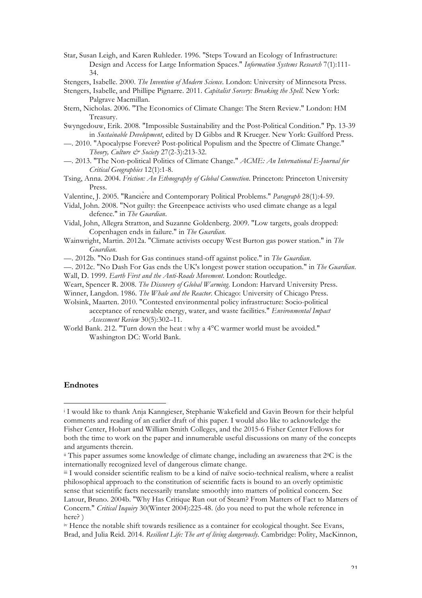Star, Susan Leigh, and Karen Ruhleder. 1996. "Steps Toward an Ecology of Infrastructure: Design and Access for Large Information Spaces." *Information Systems Research* 7(1):111- 34.

Stengers, Isabelle. 2000. *The Invention of Modern Science*. London: University of Minnesota Press.

Stengers, Isabelle, and Phillipe Pignarre. 2011. *Capitalist Sorcery: Breaking the Spell*. New York: Palgrave Macmillan.

- Stern, Nicholas. 2006. "The Economics of Climate Change: The Stern Review." London: HM Treasury.
- Swyngedouw, Erik. 2008. "Impossible Sustainability and the Post-Political Condition." Pp. 13-39 in *Sustainable Development*, edited by D Gibbs and R Krueger. New York: Guilford Press.
- —. 2010. "Apocalypse Forever? Post-political Populism and the Spectre of Climate Change." *Theory, Culture & Society* 27(2-3):213-32.
- —. 2013. "The Non-political Politics of Climate Change." *ACME: An International E-Journal for Critical Geographies* 12(1):1-8.
- Tsing, Anna. 2004. *Friction: An Ethnography of Global Connection*. Princeton: Princeton University Press.
- Valentine, J. 2005. "Rancière and Contemporary Political Problems." *Paragraph* 28(1):4-59.
- Vidal, John. 2008. "Not guilty: the Greenpeace activists who used climate change as a legal defence." in *The Guardian*.
- Vidal, John, Allegra Stratton, and Suzanne Goldenberg. 2009. "Low targets, goals dropped: Copenhagen ends in failure." in *The Guardian*.
- Wainwright, Martin. 2012a. "Climate activists occupy West Burton gas power station." in *The Guardian*.
- —. 2012b. "No Dash for Gas continues stand-off against police." in *The Guardian*.

—. 2012c. "No Dash For Gas ends the UK's longest power station occupation." in *The Guardian*. Wall, D. 1999. *Earth First and the Anti-Roads Movement*. London: Routledge.

Weart, Spencer R. 2008. *The Discovery of Global Warming*. London: Harvard University Press.

Winner, Langdon. 1986. *The Whale and the Reactor*. Chicago: University of Chicago Press.

Wolsink, Maarten. 2010. "Contested environmental policy infrastructure: Socio-political acceptance of renewable energy, water, and waste facilities." *Environmental Impact Assessment Review* 30(5):302–11.

World Bank. 212. "Turn down the heat : why a 4°C warmer world must be avoided." Washington DC: World Bank.

#### **Endnotes**

 

<sup>i</sup> I would like to thank Anja Kanngieser, Stephanie Wakefield and Gavin Brown for their helpful comments and reading of an earlier draft of this paper. I would also like to acknowledge the Fisher Center, Hobart and William Smith Colleges, and the 2015-6 Fisher Center Fellows for both the time to work on the paper and innumerable useful discussions on many of the concepts and arguments therein.

 $\ddot{\text{h}}$  This paper assumes some knowledge of climate change, including an awareness that  $2^{\circ}\text{C}$  is the internationally recognized level of dangerous climate change.

iii I would consider scientific realism to be a kind of naïve socio-technical realism, where a realist philosophical approach to the constitution of scientific facts is bound to an overly optimistic sense that scientific facts necessarily translate smoothly into matters of political concern. See Latour, Bruno. 2004b. "Why Has Critique Run out of Steam? From Matters of Fact to Matters of Concern." *Critical Inquiry* 30(Winter 2004):225-48. (do you need to put the whole reference in here? )

iv Hence the notable shift towards resilience as a container for ecological thought. See Evans, Brad, and Julia Reid. 2014. *Resilient Life: The art of living dangerously*. Cambridge: Polity, MacKinnon,